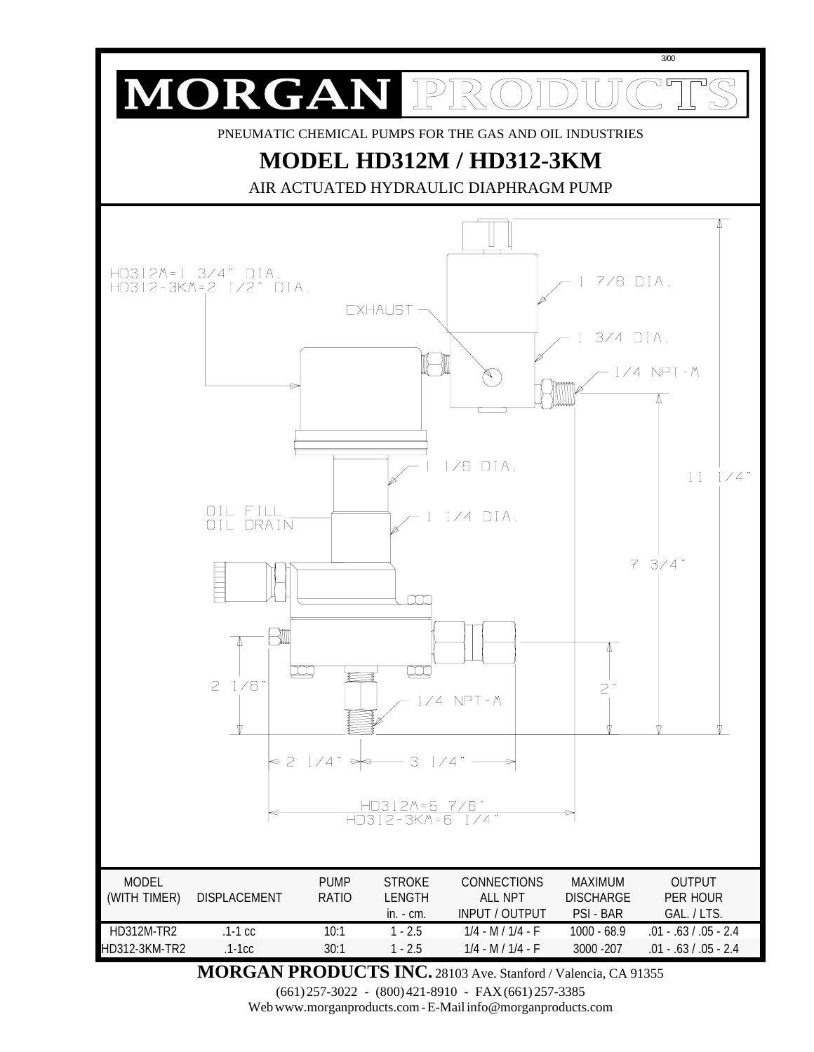

**MORGAN PRODUCTS INC.** 28103 Ave. Stanford / Valencia, CA 91355

(661) 257-3022 - (800) 421-8910 - FAX (661) 257-3385

Web www.morganproducts.com - E-Mail info@morganproducts.com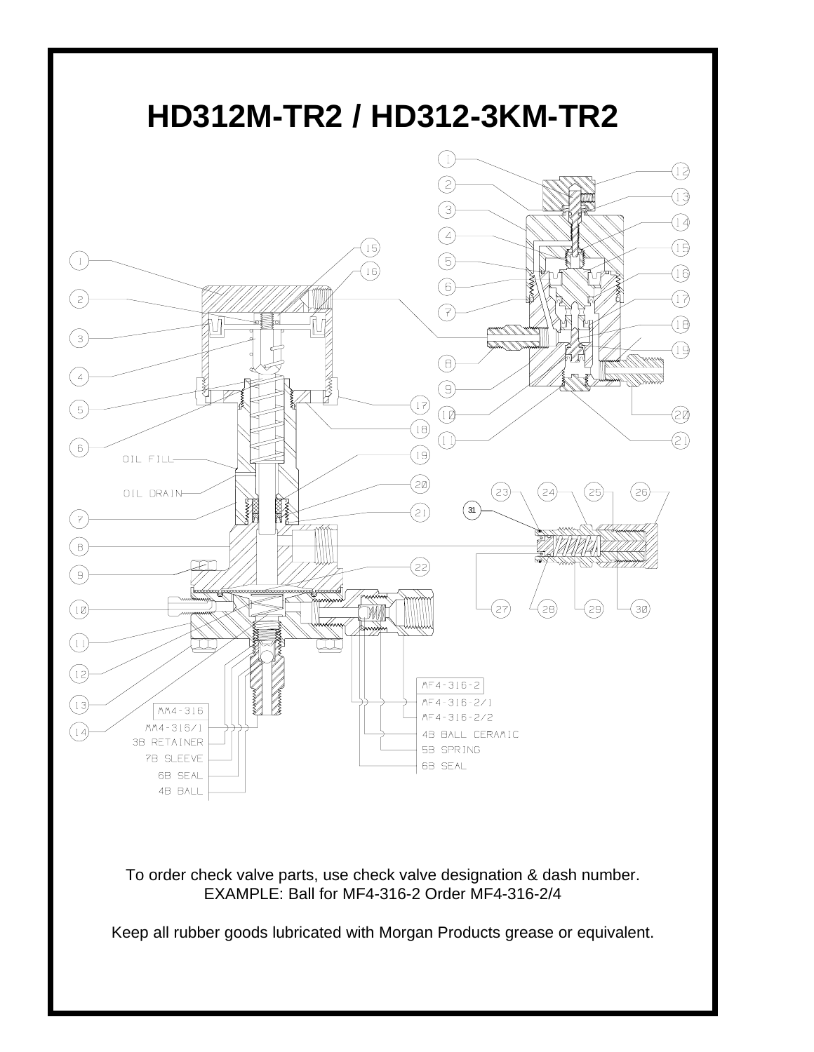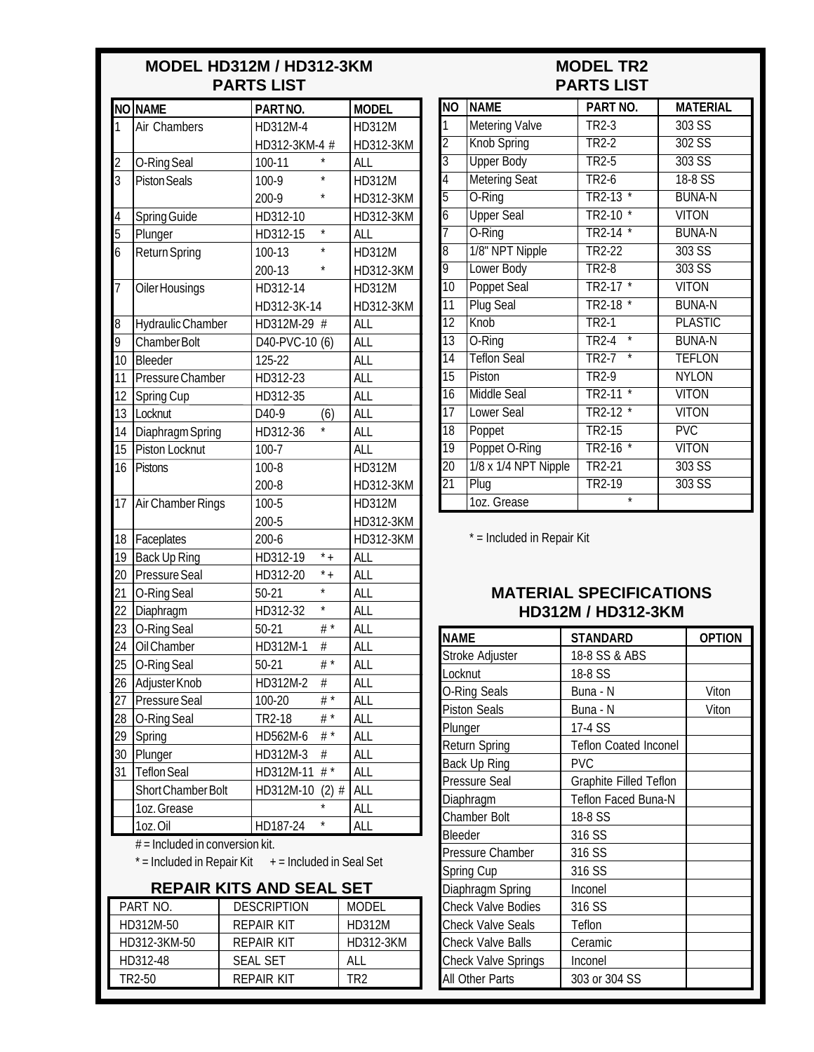#### **MODEL HD312M / HD312-3KM PARTS LIST**

# **MODEL TR2 PARTS LIST**

|                                                         | NO NAME                  |          |                            |         |              |               |  |  |
|---------------------------------------------------------|--------------------------|----------|----------------------------|---------|--------------|---------------|--|--|
| 1                                                       |                          |          |                            | PARTNO. |              | <b>MODEL</b>  |  |  |
|                                                         | Air Chambers             | HD312M-4 |                            |         | HD312M       |               |  |  |
|                                                         |                          |          | HD312-3KM-4 #              |         |              | HD312-3KM     |  |  |
| $\overline{\mathbf{c}}$<br>$\overline{3}$               | O-Ring Seal              |          | 100-11                     | $\star$ |              | ALL           |  |  |
|                                                         | <b>Piston Seals</b>      |          | $100-9$                    | *       |              | <b>HD312M</b> |  |  |
|                                                         |                          |          | 200-9                      |         |              | HD312-3KM     |  |  |
| 4                                                       | Spring Guide             |          | HD312-10<br>$\star$        |         |              | HD312-3KM     |  |  |
| $\overline{5}$                                          | Plunger                  |          | HD312-15<br>$\star$        |         | ALL          |               |  |  |
| $\overline{6}$                                          | <b>Return Spring</b>     |          | 100-13                     | $\star$ |              | HD312M        |  |  |
|                                                         |                          |          | 200-13                     |         |              | HD312-3KM     |  |  |
| $\overline{7}$                                          | Oiler Housings           |          | HD312-14                   |         |              | <b>HD312M</b> |  |  |
|                                                         |                          |          | HD312-3K-14                |         |              | HD312-3KM     |  |  |
| 8                                                       | <b>Hydraulic Chamber</b> |          | HD312M-29 #                |         |              | ALL           |  |  |
| 9                                                       | <b>Chamber Bolt</b>      |          | D40-PVC-10 (6)             |         |              | <b>ALL</b>    |  |  |
| 10                                                      | Bleeder                  |          | 125-22                     |         |              | <b>ALL</b>    |  |  |
| 11                                                      | Pressure Chamber         |          | HD312-23                   |         |              | <b>ALL</b>    |  |  |
| 12                                                      | Spring Cup               |          | HD312-35                   |         |              | <b>ALL</b>    |  |  |
| 13                                                      | Locknut                  |          | D <sub>40-9</sub>          | (6)     |              | <b>ALL</b>    |  |  |
| 14                                                      | Diaphragm Spring         |          | HD312-36                   |         |              | <b>ALL</b>    |  |  |
| 15                                                      | Piston Locknut           |          | $100 - 7$                  |         |              | <b>ALL</b>    |  |  |
| 16                                                      | <b>Pistons</b>           |          | 100-8                      |         | HD312M       |               |  |  |
|                                                         |                          |          | 200-8                      |         | HD312-3KM    |               |  |  |
| $\overline{17}$                                         | Air Chamber Rings        |          | 100-5                      |         |              | HD312M        |  |  |
|                                                         |                          |          | 200-5                      |         |              | HD312-3KM     |  |  |
| 18                                                      | Faceplates               |          | 200-6                      |         | HD312-3KM    |               |  |  |
| 19                                                      | <b>Back Up Ring</b>      |          | $\overline{1}$<br>HD312-19 |         | <b>ALL</b>   |               |  |  |
| 20                                                      | Pressure Seal            |          | $*$ +<br>HD312-20          |         | <b>ALL</b>   |               |  |  |
| 21                                                      | O-Ring Seal              |          | $50 - 21$                  |         | ALL          |               |  |  |
| 22                                                      | Diaphragm                |          | HD312-32                   | $\star$ |              | <b>ALL</b>    |  |  |
| 23                                                      | O-Ring Seal              |          | $50 - 21$                  | # $*$   |              | <b>ALL</b>    |  |  |
| 24                                                      | Oil Chamber              |          | HD312M-1                   | $\#$    |              | <b>ALL</b>    |  |  |
| 25                                                      | O-Ring Seal              |          | $50 - 21$                  | $#^*$   |              | <b>ALL</b>    |  |  |
| $\overline{26}$                                         | Adjuster Knob            |          | HD312M-2                   | #       |              | all           |  |  |
| 27                                                      | Pressure Seal            |          | 100-20                     | # $*$   |              | ALL           |  |  |
| 28                                                      | O-Ring Seal              |          | TR2-18                     | # $*$   |              | ALL           |  |  |
| 29                                                      | Spring                   |          | HD562M-6                   | # $*$   |              | ALL           |  |  |
| 30                                                      | Plunger                  |          | HD312M-3<br>#              |         | ALL          |               |  |  |
| 31                                                      | <b>Teflon Seal</b>       |          | # $*$<br>HD312M-11         |         | ALL          |               |  |  |
|                                                         | Short Chamber Bolt       |          | HD312M-10<br>$(2)$ #       |         | ALL          |               |  |  |
|                                                         | 1oz. Grease              |          |                            | $\star$ |              | ALL           |  |  |
|                                                         | 1oz.Oil                  | HD187-24 | *                          |         | ALL          |               |  |  |
| $#$ = Included in conversion kit.                       |                          |          |                            |         |              |               |  |  |
| $*$ = Included in Repair Kit $+$ = Included in Seal Set |                          |          |                            |         |              |               |  |  |
| <b>REPAIR KITS AND SEAL SET</b>                         |                          |          |                            |         |              |               |  |  |
|                                                         | PART NO.                 |          | <b>DESCRIPTION</b>         |         | <b>MODEL</b> |               |  |  |
| HD312M-50                                               |                          |          | <b>REPAIR KIT</b>          |         |              | <b>HD312M</b> |  |  |

HD312-3KM-50 REPAIR KIT HD312-3KM

HD312-48 | SEAL SET | ALL TR2-50 REPAIR KIT TR2

| NO              | <b>NAME</b>           | PART NO.                               | <b>MATERIAL</b> |  |  |
|-----------------|-----------------------|----------------------------------------|-----------------|--|--|
| 1               | <b>Metering Valve</b> | TR2-3                                  | 303 SS          |  |  |
| $\overline{2}$  | Knob Spring           | TR2-2                                  | 302 SS          |  |  |
| $\overline{3}$  | <b>Upper Body</b>     | $TR2-5$                                | $303$ SS        |  |  |
| 4               | <b>Metering Seat</b>  | $TR2-6$                                | $18-8$ SS       |  |  |
| $\overline{5}$  | O-Ring                | $TR2-13$<br>$\star$                    | <b>BUNA-N</b>   |  |  |
| $\overline{6}$  | <b>Upper Seal</b>     | TR2-10<br>*                            | <b>VITON</b>    |  |  |
| 7               | O-Ring                | $\overline{\ast}$<br><b>TR2-14</b>     | <b>BUNA-N</b>   |  |  |
| $\overline{8}$  | 1/8" NPT Nipple       | TR2-22                                 | 303 SS          |  |  |
| 9               | Lower Body            | <b>TR2-8</b>                           | $303$ SS        |  |  |
| $\overline{10}$ | <b>Poppet Seal</b>    | $\star$<br>TR2-17                      | <b>VITON</b>    |  |  |
| $\overline{11}$ | <b>Plug Seal</b>      | <b>TR2-18</b>                          | <b>BUNA-N</b>   |  |  |
| $\overline{12}$ | Knob                  | TR <sub>2</sub> -1                     | <b>PLASTIC</b>  |  |  |
| $\overline{13}$ | O-Ring                | $\overline{\ast}$<br>TR <sub>2-4</sub> | <b>BUNA-N</b>   |  |  |
| 14              | <b>Teflon Seal</b>    | $\star$<br>TR <sub>2</sub> -7          | <b>TEFLON</b>   |  |  |
| $\overline{15}$ | Piston                | <b>TR2-9</b>                           | NYI ON          |  |  |
| 16              | Middle Seal           | *<br>TR2-11                            | <b>VITON</b>    |  |  |
| $\overline{17}$ | <b>Lower Seal</b>     | $TR2-12$<br>$\star$                    | <b>VITON</b>    |  |  |
| $\overline{18}$ | Poppet                | TR2-15                                 | <b>PVC</b>      |  |  |
| $\overline{19}$ | Poppet O-Ring         | <b>TR2-16</b><br>*                     | <b>VITON</b>    |  |  |
| $\overline{20}$ | 1/8 x 1/4 NPT Nipple  | TR2-21                                 | 303 SS          |  |  |
| $\overline{21}$ | Plug                  | TR2-19                                 | 303 SS          |  |  |
|                 | 1oz. Grease           | $\star$                                |                 |  |  |

\* = Included in Repair Kit

## **MATERIAL SPECIFICATIONS HD312M / HD312-3KM**

| NAME                       | <b>STANDARD</b>               | <b>OPTION</b> |
|----------------------------|-------------------------------|---------------|
| Stroke Adjuster            | 18-8 SS & ABS                 |               |
| Locknut                    | 18-8 SS                       |               |
| O-Ring Seals               | Buna - N                      | Viton         |
| Piston Seals               | Buna - N                      | Viton         |
| Plunger                    | 17-4 SS                       |               |
| Return Spring              | <b>Teflon Coated Inconel</b>  |               |
| Back Up Ring               | <b>PVC</b>                    |               |
| Pressure Seal              | <b>Graphite Filled Teflon</b> |               |
| Diaphragm                  | <b>Teflon Faced Buna-N</b>    |               |
| Chamber Bolt               | 18-8 SS                       |               |
| Bleeder                    | 316 SS                        |               |
| Pressure Chamber           | 316 SS                        |               |
| Spring Cup                 | 316 SS                        |               |
| Diaphragm Spring           | Inconel                       |               |
| Check Valve Bodies         | 316 SS                        |               |
| <b>Check Valve Seals</b>   | Teflon                        |               |
| Check Valve Balls          | Ceramic                       |               |
| <b>Check Valve Springs</b> | Inconel                       |               |
| All Other Parts            | 303 or 304 SS                 |               |